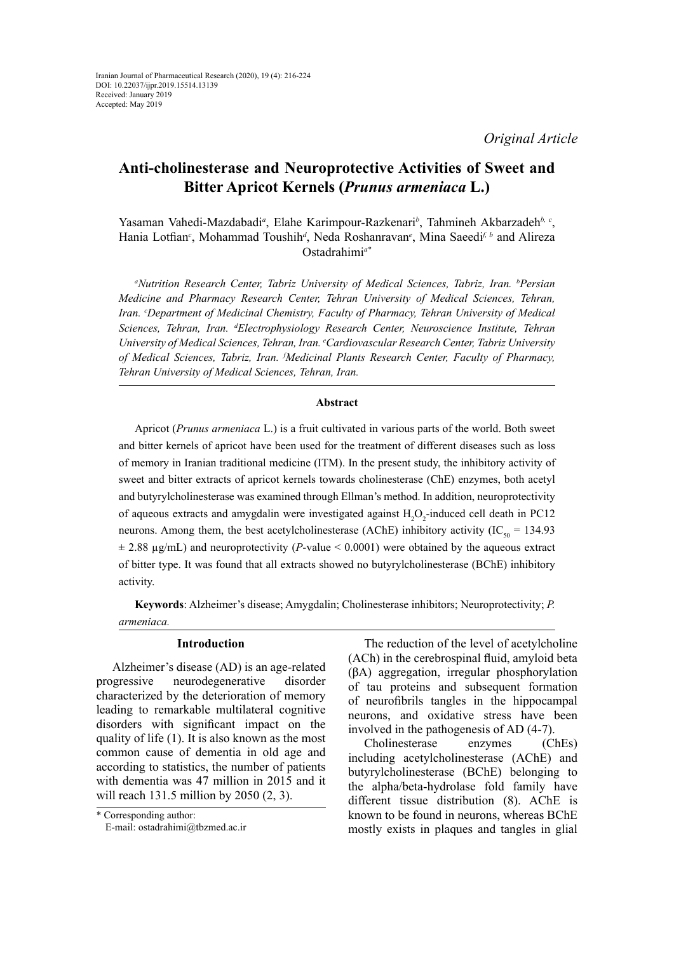# **Anti-cholinesterase and Neuroprotective Activities of Sweet and Bitter Apricot Kernels (***Prunus armeniaca* **L.)**

Yasaman Vahedi-Mazdabadi<sup>a</sup>, Elahe Karimpour-Razkenari<sup>b</sup>, Tahmineh Akbarzadeh<sup>b, c</sup>, Hania Lotfian*<sup>c</sup>* , Mohammad Toushih*<sup>d</sup>* , Neda Roshanravan*<sup>e</sup>* , Mina Saeedi*f, b* and Alireza Ostadrahimi*a\**

*a Nutrition Research Center, Tabriz University of Medical Sciences, Tabriz, Iran. b Persian Medicine and Pharmacy Research Center, Tehran University of Medical Sciences, Tehran, Iran. c Department of Medicinal Chemistry, Faculty of Pharmacy, Tehran University of Medical Sciences, Tehran, Iran. d Electrophysiology Research Center, Neuroscience Institute, Tehran University of Medical Sciences, Tehran, Iran. e Cardiovascular Research Center, Tabriz University of Medical Sciences, Tabriz, Iran. f Medicinal Plants Research Center, Faculty of Pharmacy, Tehran University of Medical Sciences, Tehran, Iran.*

#### **Abstract**

Apricot (*Prunus armeniaca* L.) is a fruit cultivated in various parts of the world. Both sweet and bitter kernels of apricot have been used for the treatment of different diseases such as loss of memory in Iranian traditional medicine (ITM). In the present study, the inhibitory activity of sweet and bitter extracts of apricot kernels towards cholinesterase (ChE) enzymes, both acetyl and butyrylcholinesterase was examined through Ellman's method. In addition, neuroprotectivity of aqueous extracts and amygdalin were investigated against  $H_2O_2$ -induced cell death in PC12 neurons. Among them, the best acetylcholinesterase (AChE) inhibitory activity ( $IC_{\rm so} = 134.93$ ± 2.88 µg/mL) and neuroprotectivity (*P*-value < 0.0001) were obtained by the aqueous extract of bitter type. It was found that all extracts showed no butyrylcholinesterase (BChE) inhibitory activity.

**Keywords**: Alzheimer's disease; Amygdalin; Cholinesterase inhibitors; Neuroprotectivity; *P. armeniaca.* 

# **Introduction**

Alzheimer's disease (AD) is an age-related progressive neurodegenerative disorder characterized by the deterioration of memory leading to remarkable multilateral cognitive disorders with significant impact on the quality of life (1). It is also known as the most common cause of dementia in old age and according to statistics, the number of patients with dementia was 47 million in 2015 and it will reach 131.5 million by 2050 (2, 3).

Cholinesterase enzymes (ChEs) including acetylcholinesterase (AChE) and butyrylcholinesterase (BChE) belonging to the alpha/beta-hydrolase fold family have different tissue distribution (8). AChE is known to be found in neurons, whereas BChE mostly exists in plaques and tangles in glial

<sup>\*</sup> Corresponding author: E-mail: ostadrahimi@tbzmed.ac.ir

The reduction of the level of acetylcholine (ACh) in the cerebrospinal fluid, amyloid beta (βA) aggregation, irregular phosphorylation of tau proteins and subsequent formation of neurofibrils tangles in the hippocampal neurons, and oxidative stress have been involved in the pathogenesis of AD (4-7).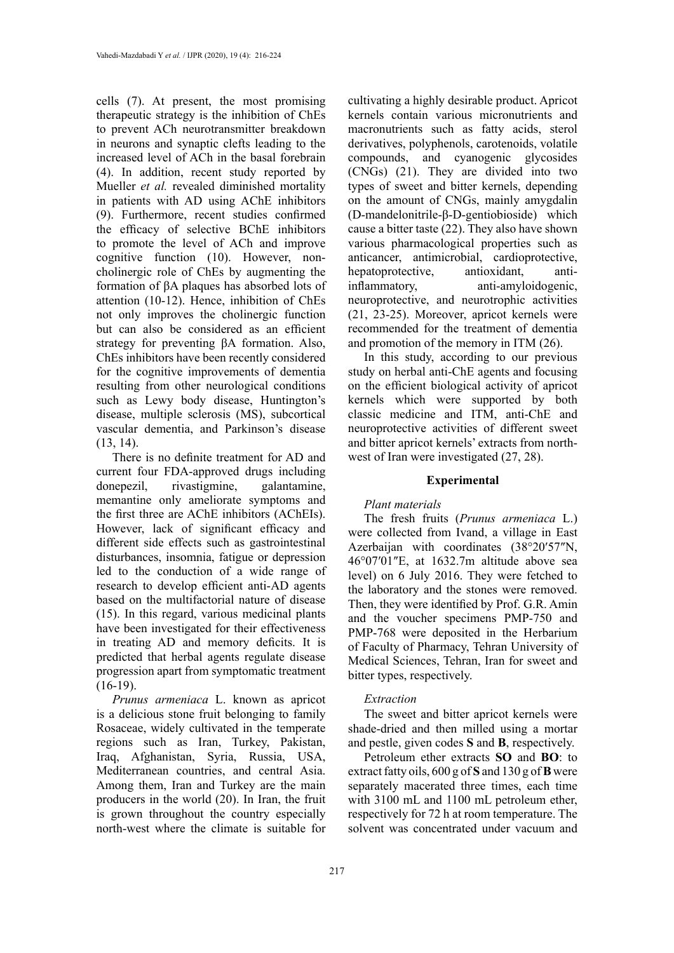cells (7). At present, the most promising therapeutic strategy is the inhibition of ChEs to prevent ACh neurotransmitter breakdown in neurons and synaptic clefts leading to the increased level of ACh in the basal forebrain (4). In addition, recent study reported by Mueller *et al.* revealed diminished mortality in patients with AD using AChE inhibitors (9). Furthermore, recent studies confirmed the efficacy of selective BChE inhibitors to promote the level of ACh and improve cognitive function (10). However, noncholinergic role of ChEs by augmenting the formation of βA plaques has absorbed lots of attention (10-12). Hence, inhibition of ChEs not only improves the cholinergic function but can also be considered as an efficient strategy for preventing βA formation. Also, ChEs inhibitors have been recently considered for the cognitive improvements of dementia resulting from other neurological conditions such as Lewy body disease, Huntington's disease, multiple sclerosis (MS), subcortical vascular dementia, and Parkinson's disease (13, 14).

There is no definite treatment for AD and current four FDA-approved drugs including donepezil, rivastigmine, galantamine, memantine only ameliorate symptoms and the first three are AChE inhibitors (AChEIs). However, lack of significant efficacy and different side effects such as gastrointestinal disturbances, insomnia, fatigue or depression led to the conduction of a wide range of research to develop efficient anti-AD agents based on the multifactorial nature of disease (15). In this regard, various medicinal plants have been investigated for their effectiveness in treating AD and memory deficits. It is predicted that herbal agents regulate disease progression apart from symptomatic treatment  $(16-19)$ .

*Prunus armeniaca* L. known as apricot is a delicious stone fruit belonging to family Rosaceae, widely cultivated in the temperate regions such as Iran, Turkey, Pakistan, Iraq, Afghanistan, Syria, Russia, USA, Mediterranean countries, and central Asia. Among them, Iran and Turkey are the main producers in the world (20). In Iran, the fruit is grown throughout the country especially north-west where the climate is suitable for

cultivating a highly desirable product. Apricot kernels contain various micronutrients and macronutrients such as fatty acids, sterol derivatives, polyphenols, carotenoids, volatile compounds, and cyanogenic glycosides (CNGs) (21). They are divided into two types of sweet and bitter kernels, depending on the amount of CNGs, mainly amygdalin (D-mandelonitrile-β-D-gentiobioside) which cause a bitter taste (22). They also have shown various pharmacological properties such as anticancer, antimicrobial, cardioprotective, hepatoprotective, antioxidant, antiinflammatory, anti-amyloidogenic, neuroprotective, and neurotrophic activities (21, 23-25). Moreover, apricot kernels were recommended for the treatment of dementia and promotion of the memory in ITM (26).

In this study, according to our previous study on herbal anti-ChE agents and focusing on the efficient biological activity of apricot kernels which were supported by both classic medicine and ITM, anti-ChE and neuroprotective activities of different sweet and bitter apricot kernels' extracts from northwest of Iran were investigated (27, 28).

# **Experimental**

# *Plant materials*

The fresh fruits (*Prunus armeniaca* L.) were collected from Ivand, a village in East Azerbaijan with coordinates (38°20′57″N, 46°07′01″E, at 1632.7m altitude above sea level) on 6 July 2016. They were fetched to the laboratory and the stones were removed. Then, they were identified by Prof. G.R. Amin and the voucher specimens PMP-750 and PMP-768 were deposited in the Herbarium of Faculty of Pharmacy, Tehran University of Medical Sciences, Tehran, Iran for sweet and bitter types, respectively.

#### *Extraction*

The sweet and bitter apricot kernels were shade-dried and then milled using a mortar and pestle, given codes **S** and **B**, respectively.

Petroleum ether extracts **SO** and **BO**: to extract fatty oils, 600 g of **S** and 130 g of **B** were separately macerated three times, each time with 3100 mL and 1100 mL petroleum ether. respectively for 72 h at room temperature. The solvent was concentrated under vacuum and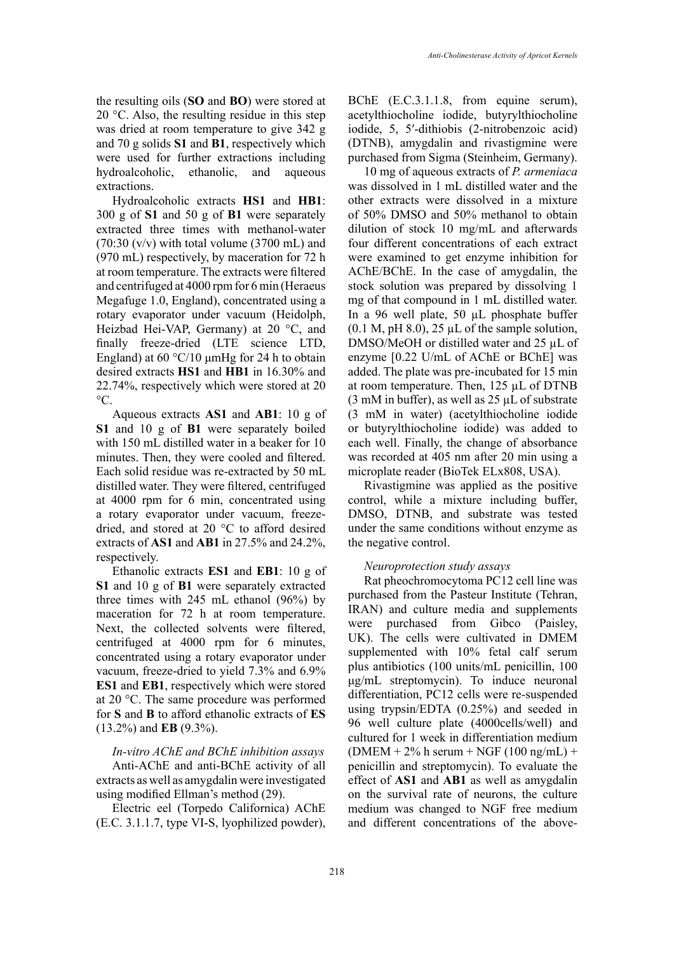the resulting oils (**SO** and **BO**) were stored at 20 °C. Also, the resulting residue in this step was dried at room temperature to give 342 g and 70 g solids **S1** and **B1**, respectively which were used for further extractions including hydroalcoholic, ethanolic, and aqueous extractions.

Hydroalcoholic extracts **HS1** and **HB1**: 300 g of **S1** and 50 g of **B1** were separately extracted three times with methanol-water  $(70:30 \text{ (v/v)}$  with total volume  $(3700 \text{ mL})$  and (970 mL) respectively, by maceration for 72 h at room temperature. The extracts were filtered and centrifuged at 4000 rpm for 6 min (Heraeus Megafuge 1.0, England), concentrated using a rotary evaporator under vacuum (Heidolph, Heizbad Hei-VAP, Germany) at 20 °C, and finally freeze-dried (LTE science LTD, England) at  $60^{\circ}$ C/10 μmHg for 24 h to obtain desired extracts **HS1** and **HB1** in 16.30% and 22.74%, respectively which were stored at 20  $^{\circ}C$ .

Aqueous extracts **AS1** and **AB1**: 10 g of **S1** and 10 g of **B1** were separately boiled with 150 mL distilled water in a beaker for 10 minutes. Then, they were cooled and filtered. Each solid residue was re-extracted by 50 mL distilled water. They were filtered, centrifuged at 4000 rpm for 6 min, concentrated using a rotary evaporator under vacuum, freezedried, and stored at 20 °C to afford desired extracts of **AS1** and **AB1** in 27.5% and 24.2%, respectively.

Ethanolic extracts **ES1** and **EB1**: 10 g of **S1** and 10 g of **B1** were separately extracted three times with 245 mL ethanol (96%) by maceration for 72 h at room temperature. Next, the collected solvents were filtered, centrifuged at 4000 rpm for 6 minutes, concentrated using a rotary evaporator under vacuum, freeze-dried to yield 7.3% and 6.9% **ES1** and **EB1**, respectively which were stored at 20 °C. The same procedure was performed for **S** and **B** to afford ethanolic extracts of **ES** (13.2%) and **EB** (9.3%).

*In-vitro AChE and BChE inhibition assays* Anti-AChE and anti-BChE activity of all

extracts as well as amygdalin were investigated using modified Ellman's method (29).

Electric eel (Torpedo Californica) AChE (E.C. 3.1.1.7, type VI-S, lyophilized powder), BChE (E.C.3.1.1.8, from equine serum), acetylthiocholine iodide, butyrylthiocholine iodide, 5, 5′-dithiobis (2-nitrobenzoic acid) (DTNB), amygdalin and rivastigmine were purchased from Sigma (Steinheim, Germany).

10 mg of aqueous extracts of *P. armeniaca* was dissolved in 1 mL distilled water and the other extracts were dissolved in a mixture of 50% DMSO and 50% methanol to obtain dilution of stock 10 mg/mL and afterwards four different concentrations of each extract were examined to get enzyme inhibition for AChE/BChE. In the case of amygdalin, the stock solution was prepared by dissolving 1 mg of that compound in 1 mL distilled water. In a 96 well plate, 50 µL phosphate buffer  $(0.1 \text{ M}, \text{pH}, 8.0)$ ,  $25 \mu L$  of the sample solution, DMSO/MeOH or distilled water and 25 µL of enzyme [0.22 U/mL of AChE or BChE] was added. The plate was pre-incubated for 15 min at room temperature. Then, 125 µL of DTNB (3 mM in buffer), as well as 25 µL of substrate (3 mM in water) (acetylthiocholine iodide or butyrylthiocholine iodide) was added to each well. Finally, the change of absorbance was recorded at 405 nm after 20 min using a microplate reader (BioTek ELx808, USA).

Rivastigmine was applied as the positive control, while a mixture including buffer, DMSO, DTNB, and substrate was tested under the same conditions without enzyme as the negative control.

#### *Neuroprotection study assays*

Rat pheochromocytoma PC12 cell line was purchased from the Pasteur Institute (Tehran, IRAN) and culture media and supplements were purchased from Gibco (Paisley, UK). The cells were cultivated in DMEM supplemented with 10% fetal calf serum plus antibiotics (100 units/mL penicillin, 100 μg/mL streptomycin). To induce neuronal differentiation, PC12 cells were re-suspended using trypsin/EDTA (0.25%) and seeded in 96 well culture plate (4000cells/well) and cultured for 1 week in differentiation medium  $(DMEM + 2% h serum + NGF (100 ng/mL) +$ penicillin and streptomycin). To evaluate the effect of **AS1** and **AB1** as well as amygdalin on the survival rate of neurons, the culture medium was changed to NGF free medium and different concentrations of the above-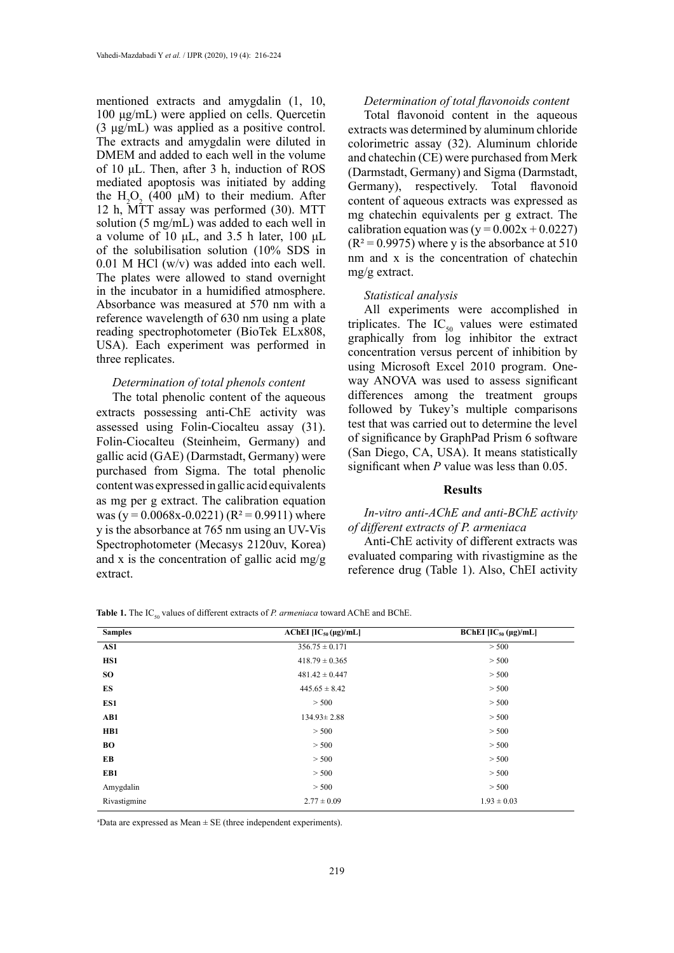mentioned extracts and amygdalin (1, 10, 100 μg/mL) were applied on cells. Quercetin (3 μg/mL) was applied as a positive control. The extracts and amygdalin were diluted in DMEM and added to each well in the volume of 10 μL. Then, after 3 h, induction of ROS mediated apoptosis was initiated by adding the  $H_2O_2$  (400 μM) to their medium. After 12 h, MTT assay was performed (30). MTT solution (5 mg/mL) was added to each well in a volume of 10 μL, and 3.5 h later, 100 μL of the solubilisation solution (10% SDS in 0.01 M HCl (w/v) was added into each well. The plates were allowed to stand overnight in the incubator in a humidified atmosphere. Absorbance was measured at 570 nm with a reference wavelength of 630 nm using a plate reading spectrophotometer (BioTek ELx808, USA). Each experiment was performed in three replicates.

#### *Determination of total phenols content*

The total phenolic content of the aqueous extracts possessing anti-ChE activity was assessed using Folin-Ciocalteu assay (31). Folin-Ciocalteu (Steinheim, Germany) and gallic acid (GAE) (Darmstadt, Germany) were purchased from Sigma. The total phenolic content was expressed in gallic acid equivalents as mg per g extract. The calibration equation was (y =  $0.0068x - 0.0221$ ) (R<sup>2</sup> = 0.9911) where y is the absorbance at 765 nm using an UV-Vis Spectrophotometer (Mecasys 2120uv, Korea) and x is the concentration of gallic acid mg/g extract.

#### *Determination of total flavonoids content*

Total flavonoid content in the aqueous extracts was determined by aluminum chloride colorimetric assay (32). Aluminum chloride and chatechin (CE) were purchased from Merk (Darmstadt, Germany) and Sigma (Darmstadt, Germany), respectively. Total flavonoid content of aqueous extracts was expressed as mg chatechin equivalents per g extract. The calibration equation was  $(y = 0.002x + 0.0227)$  $(R<sup>2</sup>=0.9975)$  where y is the absorbance at 510 nm and x is the concentration of chatechin mg/g extract.

#### *Statistical analysis*

All experiments were accomplished in triplicates. The  $IC_{50}$  values were estimated graphically from log inhibitor the extract concentration versus percent of inhibition by using Microsoft Excel 2010 program. Oneway ANOVA was used to assess significant differences among the treatment groups followed by Tukey's multiple comparisons test that was carried out to determine the level of significance by GraphPad Prism 6 software (San Diego, CA, USA). It means statistically significant when *P* value was less than 0.05.

# **Results**

# *In-vitro anti-AChE and anti-BChE activity of different extracts of P. armeniaca*

Anti-ChE activity of different extracts was evaluated comparing with rivastigmine as the reference drug (Table 1). Also, ChEI activity

| <b>Samples</b> | AChEI $[IC_{50}(\mu g)/mL]$ | BChEI $[IC_{50} (\mu g)/mL]$ |
|----------------|-----------------------------|------------------------------|
| AS1            | $356.75 \pm 0.171$          | > 500                        |
| HS1            | $418.79 \pm 0.365$          | > 500                        |
| <b>SO</b>      | $481.42 \pm 0.447$          | > 500                        |
| ES             | $445.65 \pm 8.42$           | > 500                        |
| ES1            | > 500                       | > 500                        |
| AB1            | $134.93 \pm 2.88$           | > 500                        |
| HB1            | > 500                       | > 500                        |
| BО             | > 500                       | > 500                        |
| EB             | > 500                       | > 500                        |
| EB1            | > 500                       | > 500                        |
| Amygdalin      | > 500                       | > 500                        |
| Rivastigmine   | $2.77 \pm 0.09$             | $1.93 \pm 0.03$              |

**Table 1.** The IC<sub>50</sub> values of different extracts of *P. armeniaca* toward AChE and BChE.

and  $\mathbf{E} = \frac{1}{\mathbf{E}} \mathbf{E} \cdot \mathbf{E}$  (three independent experiments).  $a<sup>a</sup>$ Data are expressed as Mean  $\pm$  SE (three independent experiments).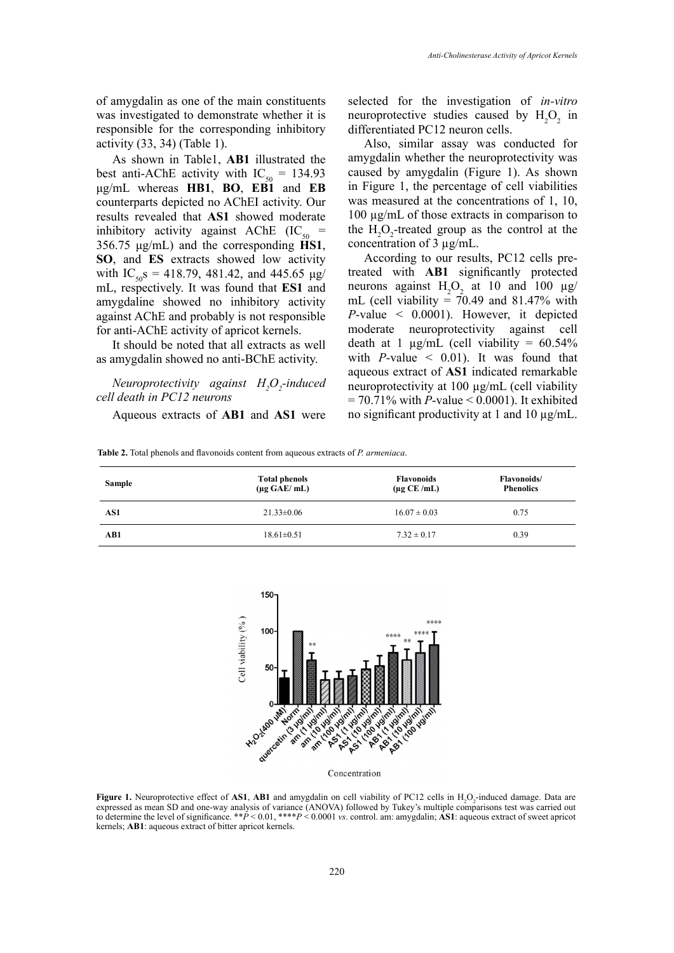of amygdalin as one of the main constituents was investigated to demonstrate whether it is responsible for the corresponding inhibitory activity (33, 34) (Table 1).

As shown in Table1, **AB1** illustrated the best anti-AChE activity with  $IC_{50} = 134.93$ μg/mL whereas **HB1**, **BO**, **EB1** and **EB** counterparts depicted no AChEI activity. Our results revealed that **AS1** showed moderate inhibitory activity against AChE (IC<sub>50</sub> = 356.75  $\mu$ g/mL) and the corresponding  $\tilde{H}SI$ , **SO**, and **ES** extracts showed low activity with  $IC_{50}$ s = 418.79, 481.42, and 445.65 μg/ mL, respectively. It was found that **ES1** and amygdaline showed no inhibitory activity against AChE and probably is not responsible for anti-AChE activity of apricot kernels.

It should be noted that all extracts as well as amygdalin showed no anti-BChE activity.

*Neuroprotectivity against H<sub>2</sub>O<sub>2</sub>-induced cell death in PC12 neurons*

Aqueous extracts of **AB1** and **AS1** were

selected for the investigation of *in-vitro* neuroprotective studies caused by  $H_2O_2$  in differentiated PC12 neuron cells.

Also, similar assay was conducted for amygdalin whether the neuroprotectivity was caused by amygdalin (Figure 1). As shown in Figure 1, the percentage of cell viabilities was measured at the concentrations of 1, 10, 100 µg/mL of those extracts in comparison to the  $H_2O_2$ -treated group as the control at the concentration of 3 µg/mL.

According to our results, PC12 cells pretreated with **AB1** significantly protected neurons against  $H_2O_2$  at 10 and 100  $\mu$ g/ mL (cell viability =  $70.49$  and 81.47% with *P*-value < 0.0001). However, it depicted moderate neuroprotectivity against cell death at 1  $\mu$ g/mL (cell viability = 60.54% with  $P$ -value  $\leq$  0.01). It was found that aqueous extract of **AS1** indicated remarkable neuroprotectivity at 100 µg/mL (cell viability = 70.71% with *P*-value < 0.0001). It exhibited no significant productivity at 1 and 10 µg/mL.

**Table 2.** Total phenols and flavonoids content from aqueous extracts of *P. armeniaca*. **Table 2.** Total phenols and flavonoids content from aqueous extracts of *P. armeniaca*.

| <b>Sample</b> | <b>Total phenols</b><br>$(\mu g \text{ GAE}/\text{ mL})$ | <b>Flavonoids</b><br>$(\mu$ g CE/mL) | <b>Flavonoids</b> /<br><b>Phenolics</b> |
|---------------|----------------------------------------------------------|--------------------------------------|-----------------------------------------|
| AS1           | $21.33 \pm 0.06$                                         | $16.07 \pm 0.03$                     | 0.75                                    |
| AB1           | $18.61 \pm 0.51$                                         | $7.32 \pm 0.17$                      | 0.39                                    |



Concentration

nean SD and one-way analysis of variance (ANOVA) followed by Tukey's multiple comparisons test wa  $\frac{1}{\sqrt{N}}$  is one-way and  $\frac{1}{\sqrt{N}}$  to  $\frac{1}{\sqrt{N}}$  to  $\frac{1}{\sqrt{N}}$  followed and any  $\frac{1}{\sqrt{N}}$  and  $\frac{1}{\sqrt{N}}$  and  $\frac{1}{\sqrt{N}}$  and  $\frac{1}{\sqrt{N}}$  and  $\frac{1}{\sqrt{N}}$  and  $\frac{1}{\sqrt{N}}$  and  $\frac{1}{\sqrt{N}}$  and  $\frac{1}{\sqrt{N}}$ **Figure 1.** Neuroprotective effect of **AS1**, **AB1** and amygdalin on cell viability of PC12 cells in  $H_2O_2$  induced damage. Data are expressed as mean SD and one-way analysis of variance (ANOVA) followed by Tukey's multiple comparisons test was carried out to determine the level of significance. \*\**P* < 0.01, \*\*\*\**P* < 0.0001 *vs*. control. am: amygdalin; **AS1**: aqueous extract of sweet apricot kernels; **AB1**: aqueous extract of bitter apricot kernels.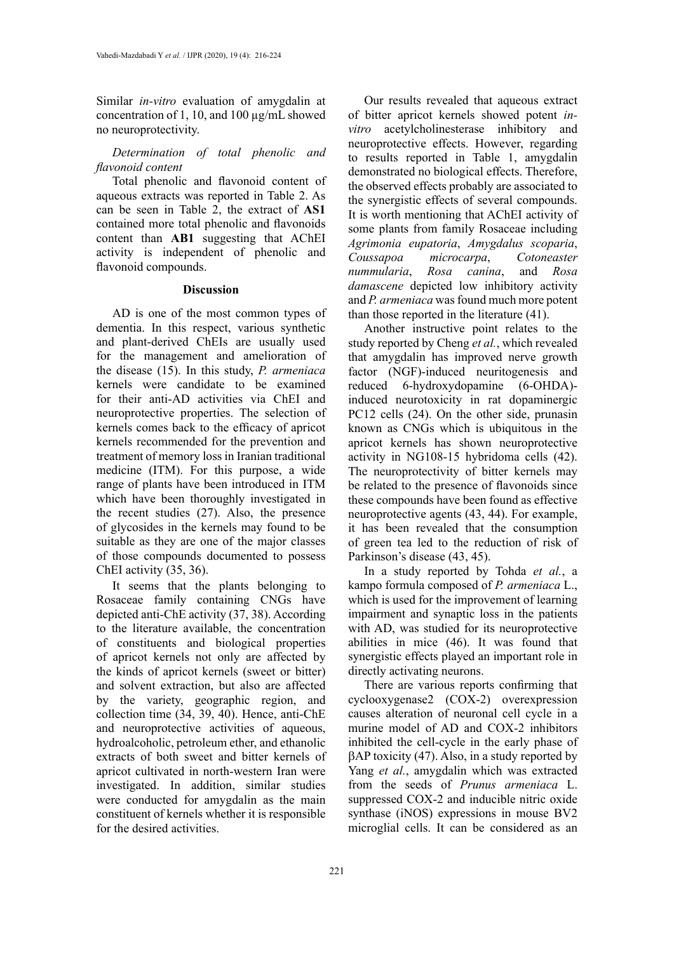Similar *in-vitro* evaluation of amygdalin at concentration of 1, 10, and 100 µg/mL showed no neuroprotectivity.

*Determination of total phenolic and flavonoid content*

Total phenolic and flavonoid content of aqueous extracts was reported in Table 2. As can be seen in Table 2, the extract of **AS1** contained more total phenolic and flavonoids content than **AB1** suggesting that AChEI activity is independent of phenolic and flavonoid compounds.

# **Discussion**

AD is one of the most common types of dementia. In this respect, various synthetic and plant-derived ChEIs are usually used for the management and amelioration of the disease (15). In this study, *P. armeniaca* kernels were candidate to be examined for their anti-AD activities via ChEI and neuroprotective properties. The selection of kernels comes back to the efficacy of apricot kernels recommended for the prevention and treatment of memory loss in Iranian traditional medicine (ITM). For this purpose, a wide range of plants have been introduced in ITM which have been thoroughly investigated in the recent studies (27). Also, the presence of glycosides in the kernels may found to be suitable as they are one of the major classes of those compounds documented to possess ChEI activity (35, 36).

It seems that the plants belonging to Rosaceae family containing CNGs have depicted anti-ChE activity (37, 38). According to the literature available, the concentration of constituents and biological properties of apricot kernels not only are affected by the kinds of apricot kernels (sweet or bitter) and solvent extraction, but also are affected by the variety, geographic region, and collection time (34, 39, 40). Hence, anti-ChE and neuroprotective activities of aqueous, hydroalcoholic, petroleum ether, and ethanolic extracts of both sweet and bitter kernels of apricot cultivated in north-western Iran were investigated. In addition, similar studies were conducted for amygdalin as the main constituent of kernels whether it is responsible for the desired activities.

Our results revealed that aqueous extract of bitter apricot kernels showed potent *invitro* acetylcholinesterase inhibitory and neuroprotective effects. However, regarding to results reported in Table 1, amygdalin demonstrated no biological effects. Therefore, the observed effects probably are associated to the synergistic effects of several compounds. It is worth mentioning that AChEI activity of some plants from family Rosaceae including *Agrimonia eupatoria*, *Amygdalus scoparia*, *Coussapoa microcarpa*, *Cotoneaster nummularia*, *Rosa canina*, and *Rosa damascene* depicted low inhibitory activity and *P. armeniaca* was found much more potent than those reported in the literature (41).

Another instructive point relates to the study reported by Cheng *et al.*, which revealed that amygdalin has improved nerve growth factor (NGF)-induced neuritogenesis and reduced 6-hydroxydopamine (6-OHDA) induced neurotoxicity in rat dopaminergic PC12 cells (24). On the other side, prunasin known as CNGs which is ubiquitous in the apricot kernels has shown neuroprotective activity in NG108-15 hybridoma cells (42). The neuroprotectivity of bitter kernels may be related to the presence of flavonoids since these compounds have been found as effective neuroprotective agents (43, 44). For example, it has been revealed that the consumption of green tea led to the reduction of risk of Parkinson's disease (43, 45).

In a study reported by Tohda *et al.*, a kampo formula composed of *P. armeniaca* L., which is used for the improvement of learning impairment and synaptic loss in the patients with AD, was studied for its neuroprotective abilities in mice (46). It was found that synergistic effects played an important role in directly activating neurons.

There are various reports confirming that cyclooxygenase2 (COX-2) overexpression causes alteration of neuronal cell cycle in a murine model of AD and COX-2 inhibitors inhibited the cell-cycle in the early phase of βAP toxicity (47). Also, in a study reported by Yang *et al.*, amygdalin which was extracted from the seeds of *Prunus armeniaca* L. suppressed COX-2 and inducible nitric oxide synthase (iNOS) expressions in mouse BV2 microglial cells. It can be considered as an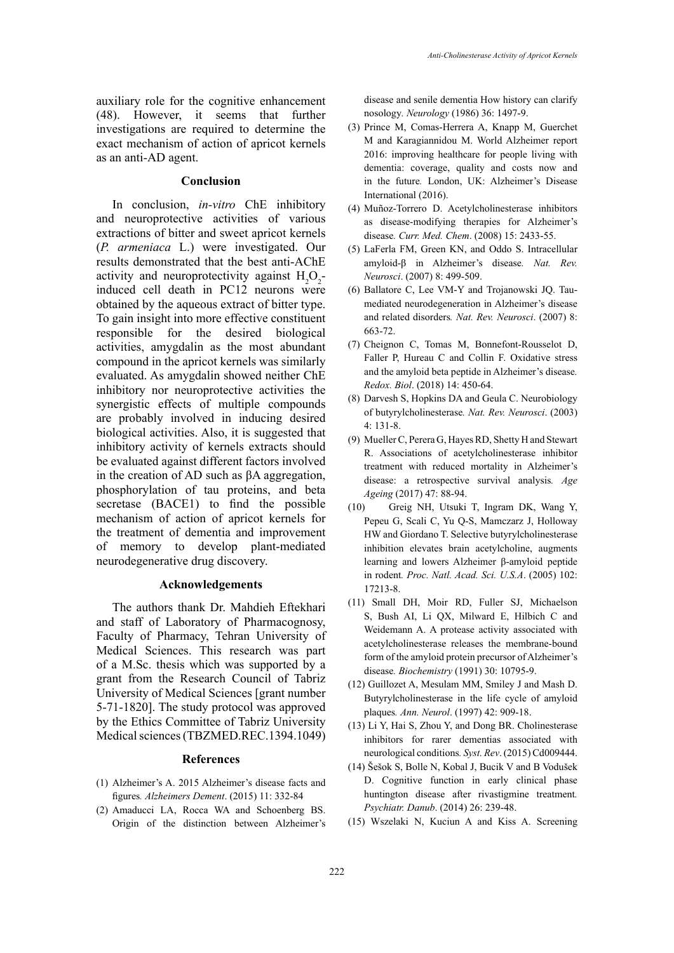auxiliary role for the cognitive enhancement (48). However, it seems that further investigations are required to determine the exact mechanism of action of apricot kernels as an anti-AD agent.

#### **Conclusion**

In conclusion, *in-vitro* ChE inhibitory and neuroprotective activities of various extractions of bitter and sweet apricot kernels (*P. armeniaca* L.) were investigated. Our results demonstrated that the best anti-AChE activity and neuroprotectivity against  $H_2O_2$ induced cell death in PC12 neurons were obtained by the aqueous extract of bitter type. To gain insight into more effective constituent responsible for the desired biological activities, amygdalin as the most abundant compound in the apricot kernels was similarly evaluated. As amygdalin showed neither ChE inhibitory nor neuroprotective activities the synergistic effects of multiple compounds are probably involved in inducing desired biological activities. Also, it is suggested that inhibitory activity of kernels extracts should be evaluated against different factors involved in the creation of AD such as βA aggregation, phosphorylation of tau proteins, and beta secretase (BACE1) to find the possible mechanism of action of apricot kernels for the treatment of dementia and improvement of memory to develop plant-mediated neurodegenerative drug discovery.

#### **Acknowledgements**

The authors thank Dr. Mahdieh Eftekhari and staff of Laboratory of Pharmacognosy, Faculty of Pharmacy, Tehran University of Medical Sciences. This research was part of a M.Sc. thesis which was supported by a grant from the Research Council of Tabriz University of Medical Sciences [grant number 5-71-1820]. The study protocol was approved by the Ethics Committee of Tabriz University Medical sciences (TBZMED.REC.1394.1049)

#### **References**

- (1) Alzheimer's A. 2015 Alzheimer's disease facts and figures*. Alzheimers Dement*. (2015) 11: 332-84
- (2) Amaducci LA, Rocca WA and Schoenberg BS. Origin of the distinction between Alzheimer's

disease and senile dementia How history can clarify nosology*. Neurology* (1986) 36: 1497-9.

- (3) Prince M, Comas-Herrera A, Knapp M, Guerchet M and Karagiannidou M. World Alzheimer report 2016: improving healthcare for people living with dementia: coverage, quality and costs now and in the future*.* London, UK: Alzheimer's Disease International (2016).
- (4) Muñoz-Torrero D. Acetylcholinesterase inhibitors as disease-modifying therapies for Alzheimer's disease*. Curr. Med. Chem*. (2008) 15: 2433-55.
- (5) LaFerla FM, Green KN, and Oddo S. Intracellular amyloid-β in Alzheimer's disease*. Nat. Rev. Neurosci*. (2007) 8: 499-509.
- (6) Ballatore C, Lee VM-Y and Trojanowski JQ. Taumediated neurodegeneration in Alzheimer's disease and related disorders*. Nat. Rev. Neurosci*. (2007) 8: 663-72.
- (7) Cheignon C, Tomas M, Bonnefont-Rousselot D, Faller P, Hureau C and Collin F. Oxidative stress and the amyloid beta peptide in Alzheimer's disease*. Redox. Biol*. (2018) 14: 450-64.
- (8) Darvesh S, Hopkins DA and Geula C. Neurobiology of butyrylcholinesterase*. Nat. Rev. Neurosci*. (2003) 4: 131-8.
- (9) Mueller C, Perera G, Hayes RD, Shetty H and Stewart R. Associations of acetylcholinesterase inhibitor treatment with reduced mortality in Alzheimer's disease: a retrospective survival analysis*. Age Ageing* (2017) 47: 88-94.
- (10) Greig NH, Utsuki T, Ingram DK, Wang Y, Pepeu G, Scali C, Yu Q-S, Mamczarz J, Holloway HW and Giordano T. Selective butyrylcholinesterase inhibition elevates brain acetylcholine, augments learning and lowers Alzheimer β-amyloid peptide in rodent*. Proc. Natl. Acad. Sci. U.S.A*. (2005) 102: 17213-8.
- (11) Small DH, Moir RD, Fuller SJ, Michaelson S, Bush AI, Li QX, Milward E, Hilbich C and Weidemann A. A protease activity associated with acetylcholinesterase releases the membrane-bound form of the amyloid protein precursor of Alzheimer's disease*. Biochemistry* (1991) 30: 10795-9.
- (12) Guillozet A, Mesulam MM, Smiley J and Mash D. Butyrylcholinesterase in the life cycle of amyloid plaques*. Ann. Neurol*. (1997) 42: 909-18.
- (13) Li Y, Hai S, Zhou Y, and Dong BR. Cholinesterase inhibitors for rarer dementias associated with neurological conditions*. Syst. Rev*. (2015) Cd009444.
- (14) Šešok S, Bolle N, Kobal J, Bucik V and B Vodušek D. Cognitive function in early clinical phase huntington disease after rivastigmine treatment*. Psychiatr. Danub*. (2014) 26: 239-48.
- (15) Wszelaki N, Kuciun A and Kiss A. Screening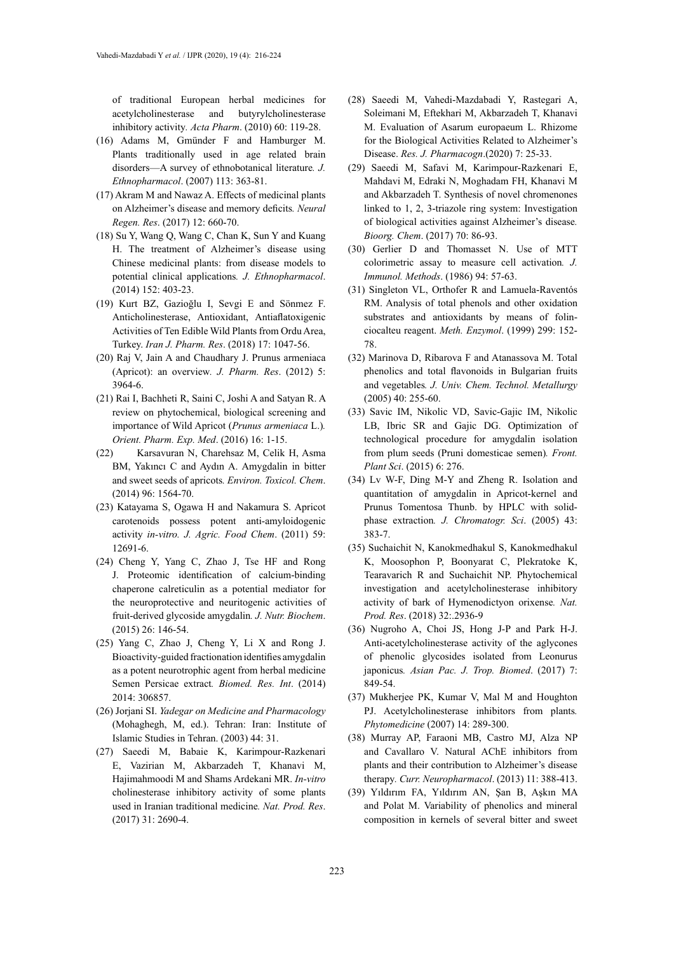of traditional European herbal medicines for acetylcholinesterase and butyrylcholinesterase inhibitory activity*. Acta Pharm*. (2010) 60: 119-28.

- (16) Adams M, Gmünder F and Hamburger M. Plants traditionally used in age related brain disorders—A survey of ethnobotanical literature*. J. Ethnopharmacol*. (2007) 113: 363-81.
- (17) Akram M and Nawaz A. Effects of medicinal plants on Alzheimer's disease and memory deficits*. Neural Regen. Res*. (2017) 12: 660-70.
- (18) Su Y, Wang Q, Wang C, Chan K, Sun Y and Kuang H. The treatment of Alzheimer's disease using Chinese medicinal plants: from disease models to potential clinical applications*. J. Ethnopharmacol*. (2014) 152: 403-23.
- (19) Kurt BZ, Gazioğlu I, Sevgi E and Sönmez F. Anticholinesterase, Antioxidant, Antiaflatoxigenic Activities of Ten Edible Wild Plants from Ordu Area, Turkey. *Iran J. Pharm. Res*. (2018) 17: 1047-56.
- (20) Raj V, Jain A and Chaudhary J. Prunus armeniaca (Apricot): an overview*. J. Pharm. Res*. (2012) 5: 3964-6.
- (21) Rai I, Bachheti R, Saini C, Joshi A and Satyan R. A review on phytochemical, biological screening and importance of Wild Apricot (*Prunus armeniaca* L.)*. Orient. Pharm. Exp. Med*. (2016) 16: 1-15.
- (22) Karsavuran N, Charehsaz M, Celik H, Asma BM, Yakıncı C and Aydın A. Amygdalin in bitter and sweet seeds of apricots*. Environ. Toxicol. Chem*. (2014) 96: 1564-70.
- (23) Katayama S, Ogawa H and Nakamura S. Apricot carotenoids possess potent anti-amyloidogenic activity *in-vitro. J. Agric. Food Chem*. (2011) 59: 12691-6.
- (24) Cheng Y, Yang C, Zhao J, Tse HF and Rong J. Proteomic identification of calcium-binding chaperone calreticulin as a potential mediator for the neuroprotective and neuritogenic activities of fruit-derived glycoside amygdalin*. J. Nutr. Biochem*. (2015) 26: 146-54.
- (25) Yang C, Zhao J, Cheng Y, Li X and Rong J. Bioactivity-guided fractionation identifies amygdalin as a potent neurotrophic agent from herbal medicine Semen Persicae extract*. Biomed. Res. Int*. (2014) 2014: 306857.
- (26) Jorjani SI. *Yadegar on Medicine and Pharmacology*  (Mohaghegh, M, ed.). Tehran: Iran: Institute of Islamic Studies in Tehran. (2003) 44: 31.
- (27) Saeedi M, Babaie K, Karimpour-Razkenari E, Vazirian M, Akbarzadeh T, Khanavi M, Hajimahmoodi M and Shams Ardekani MR. *In-vitro* cholinesterase inhibitory activity of some plants used in Iranian traditional medicine*. Nat. Prod. Res*. (2017) 31: 2690-4.
- (28) Saeedi M, Vahedi-Mazdabadi Y, Rastegari A, Soleimani M, Eftekhari M, Akbarzadeh T, Khanavi M. Evaluation of Asarum europaeum L. Rhizome for the Biological Activities Related to Alzheimer's Disease. *Res. J. Pharmacogn*.(2020) 7: 25-33.
- (29) Saeedi M, Safavi M, Karimpour-Razkenari E, Mahdavi M, Edraki N, Moghadam FH, Khanavi M and Akbarzadeh T. Synthesis of novel chromenones linked to 1, 2, 3-triazole ring system: Investigation of biological activities against Alzheimer's disease*. Bioorg. Chem*. (2017) 70: 86-93.
- (30) Gerlier D and Thomasset N. Use of MTT colorimetric assay to measure cell activation*. J. Immunol. Methods*. (1986) 94: 57-63.
- (31) Singleton VL, Orthofer R and Lamuela-Raventós RM. Analysis of total phenols and other oxidation substrates and antioxidants by means of folinciocalteu reagent. *Meth. Enzymol*. (1999) 299: 152- 78.
- (32) Marinova D, Ribarova F and Atanassova M. Total phenolics and total flavonoids in Bulgarian fruits and vegetables*. J. Univ. Chem. Technol. Metallurgy* (2005) 40: 255-60.
- (33) Savic IM, Nikolic VD, Savic-Gajic IM, Nikolic LB, Ibric SR and Gajic DG. Optimization of technological procedure for amygdalin isolation from plum seeds (Pruni domesticae semen)*. Front. Plant Sci*. (2015) 6: 276.
- (34) Lv W-F, Ding M-Y and Zheng R. Isolation and quantitation of amygdalin in Apricot-kernel and Prunus Tomentosa Thunb. by HPLC with solidphase extraction*. J. Chromatogr. Sci*. (2005) 43: 383-7.
- (35) Suchaichit N, Kanokmedhakul S, Kanokmedhakul K, Moosophon P, Boonyarat C, Plekratoke K, Tearavarich R and Suchaichit NP. Phytochemical investigation and acetylcholinesterase inhibitory activity of bark of Hymenodictyon orixense*. Nat. Prod. Res*. (2018) 32:.2936-9
- (36) Nugroho A, Choi JS, Hong J-P and Park H-J. Anti-acetylcholinesterase activity of the aglycones of phenolic glycosides isolated from Leonurus japonicus*. Asian Pac. J. Trop. Biomed*. (2017) 7: 849-54.
- (37) Mukherjee PK, Kumar V, Mal M and Houghton PJ. Acetylcholinesterase inhibitors from plants*. Phytomedicine* (2007) 14: 289-300.
- (38) Murray AP, Faraoni MB, Castro MJ, Alza NP and Cavallaro V. Natural AChE inhibitors from plants and their contribution to Alzheimer's disease therapy*. Curr. Neuropharmacol*. (2013) 11: 388-413.
- (39) Yıldırım FA, Yıldırım AN, Şan B, Aşkın MA and Polat M. Variability of phenolics and mineral composition in kernels of several bitter and sweet